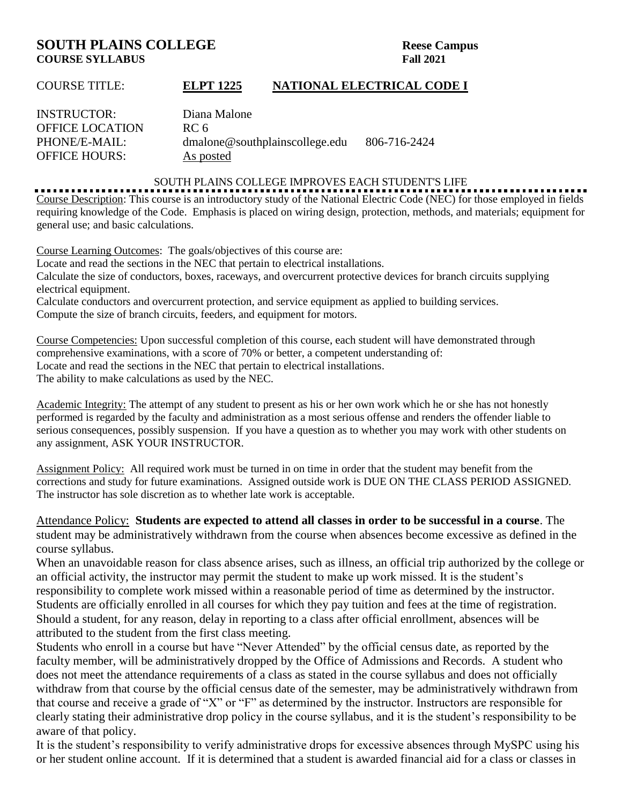# **SOUTH PLAINS COLLEGE** Reese Campus **COURSE SYLLABUS Fall 2021**

### COURSE TITLE: **ELPT 1225 NATIONAL ELECTRICAL CODE I**

| Diana Malone                   |              |
|--------------------------------|--------------|
| RC 6                           |              |
| dmalone@southplainscollege.edu | 806-716-2424 |
| As posted                      |              |
|                                |              |

#### SOUTH PLAINS COLLEGE IMPROVES EACH STUDENT'S LIFE

Course Description: This course is an introductory study of the National Electric Code (NEC) for those employed in fields requiring knowledge of the Code. Emphasis is placed on wiring design, protection, methods, and materials; equipment for general use; and basic calculations.

Course Learning Outcomes: The goals/objectives of this course are:

Locate and read the sections in the NEC that pertain to electrical installations.

Calculate the size of conductors, boxes, raceways, and overcurrent protective devices for branch circuits supplying electrical equipment.

Calculate conductors and overcurrent protection, and service equipment as applied to building services.

Compute the size of branch circuits, feeders, and equipment for motors.

Course Competencies: Upon successful completion of this course, each student will have demonstrated through comprehensive examinations, with a score of 70% or better, a competent understanding of: Locate and read the sections in the NEC that pertain to electrical installations. The ability to make calculations as used by the NEC.

Academic Integrity: The attempt of any student to present as his or her own work which he or she has not honestly performed is regarded by the faculty and administration as a most serious offense and renders the offender liable to serious consequences, possibly suspension. If you have a question as to whether you may work with other students on any assignment, ASK YOUR INSTRUCTOR.

Assignment Policy: All required work must be turned in on time in order that the student may benefit from the corrections and study for future examinations. Assigned outside work is DUE ON THE CLASS PERIOD ASSIGNED. The instructor has sole discretion as to whether late work is acceptable.

Attendance Policy: **Students are expected to attend all classes in order to be successful in a course**. The student may be administratively withdrawn from the course when absences become excessive as defined in the course syllabus.

When an unavoidable reason for class absence arises, such as illness, an official trip authorized by the college or an official activity, the instructor may permit the student to make up work missed. It is the student's responsibility to complete work missed within a reasonable period of time as determined by the instructor. Students are officially enrolled in all courses for which they pay tuition and fees at the time of registration. Should a student, for any reason, delay in reporting to a class after official enrollment, absences will be attributed to the student from the first class meeting.

Students who enroll in a course but have "Never Attended" by the official census date, as reported by the faculty member, will be administratively dropped by the Office of Admissions and Records. A student who does not meet the attendance requirements of a class as stated in the course syllabus and does not officially withdraw from that course by the official census date of the semester, may be administratively withdrawn from that course and receive a grade of "X" or "F" as determined by the instructor. Instructors are responsible for clearly stating their administrative drop policy in the course syllabus, and it is the student's responsibility to be aware of that policy.

It is the student's responsibility to verify administrative drops for excessive absences through MySPC using his or her student online account. If it is determined that a student is awarded financial aid for a class or classes in